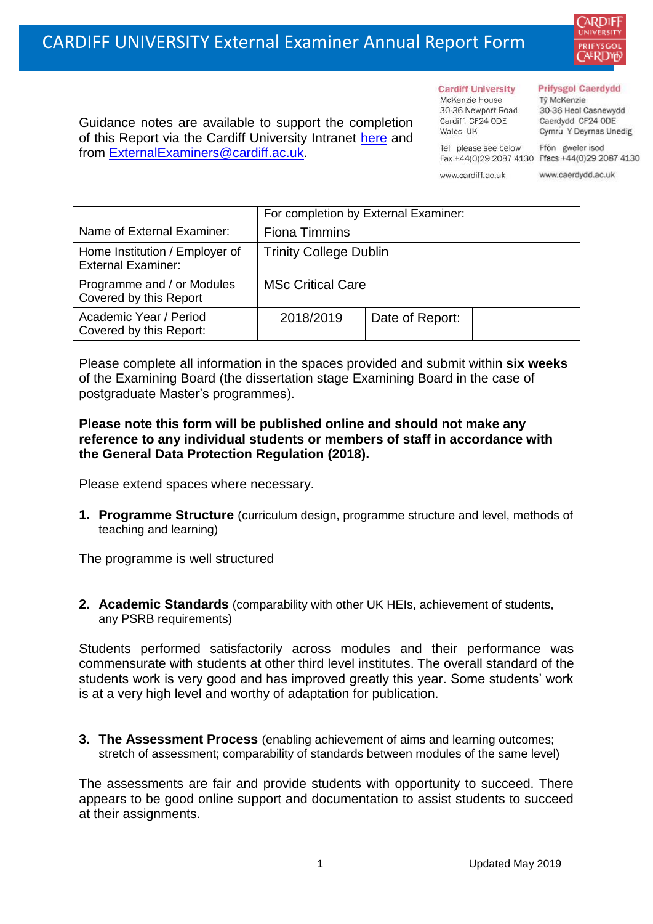

Guidance notes are available to support the completion of this Report via the Cardiff University Intranet [here](https://intranet.cardiff.ac.uk/staff/teaching-and-supporting-students/exams-and-assessment/exam-boards-and-external-examiners/for-current-external-examiners/external-examiners-reports) and from [ExternalExaminers@cardiff.ac.uk.](mailto:ExternalExaminers@cardiff.ac.uk)

**Cardiff University** McKenzie House 30-36 Newport Road Cardiff CF24 ODE Wales UK

## **Prifysgol Caerdydd**

Từ McKenzie 30-36 Heol Casnewydd Caerdydd CF24 ODE Cymru Y Deyrnas Unedig

Ffôn gweler isod Fax +44(0)29 2087 4130 Ffacs +44(0)29 2087 4130

www.cardiff.ac.uk

Tel please see below

www.caerdydd.ac.uk

|                                                             | For completion by External Examiner: |                 |  |  |
|-------------------------------------------------------------|--------------------------------------|-----------------|--|--|
| Name of External Examiner:                                  | <b>Fiona Timmins</b>                 |                 |  |  |
| Home Institution / Employer of<br><b>External Examiner:</b> | <b>Trinity College Dublin</b>        |                 |  |  |
| Programme and / or Modules<br>Covered by this Report        | <b>MSc Critical Care</b>             |                 |  |  |
| Academic Year / Period<br>Covered by this Report:           | 2018/2019                            | Date of Report: |  |  |

Please complete all information in the spaces provided and submit within **six weeks** of the Examining Board (the dissertation stage Examining Board in the case of postgraduate Master's programmes).

## **Please note this form will be published online and should not make any reference to any individual students or members of staff in accordance with the General Data Protection Regulation (2018).**

Please extend spaces where necessary.

**1. Programme Structure** (curriculum design, programme structure and level, methods of teaching and learning)

The programme is well structured

**2. Academic Standards** (comparability with other UK HEIs, achievement of students, any PSRB requirements)

Students performed satisfactorily across modules and their performance was commensurate with students at other third level institutes. The overall standard of the students work is very good and has improved greatly this year. Some students' work is at a very high level and worthy of adaptation for publication.

**3. The Assessment Process** (enabling achievement of aims and learning outcomes; stretch of assessment; comparability of standards between modules of the same level)

The assessments are fair and provide students with opportunity to succeed. There appears to be good online support and documentation to assist students to succeed at their assignments.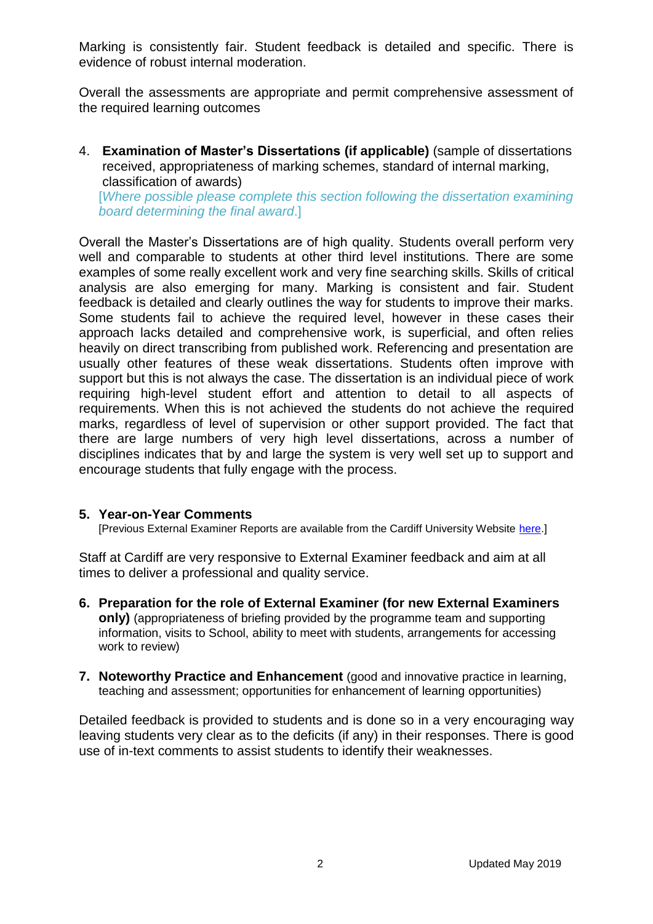Marking is consistently fair. Student feedback is detailed and specific. There is evidence of robust internal moderation.

Overall the assessments are appropriate and permit comprehensive assessment of the required learning outcomes

4. **Examination of Master's Dissertations (if applicable)** (sample of dissertations received, appropriateness of marking schemes, standard of internal marking, classification of awards)

[*Where possible please complete this section following the dissertation examining board determining the final award*.]

Overall the Master's Dissertations are of high quality. Students overall perform very well and comparable to students at other third level institutions. There are some examples of some really excellent work and very fine searching skills. Skills of critical analysis are also emerging for many. Marking is consistent and fair. Student feedback is detailed and clearly outlines the way for students to improve their marks. Some students fail to achieve the required level, however in these cases their approach lacks detailed and comprehensive work, is superficial, and often relies heavily on direct transcribing from published work. Referencing and presentation are usually other features of these weak dissertations. Students often improve with support but this is not always the case. The dissertation is an individual piece of work requiring high-level student effort and attention to detail to all aspects of requirements. When this is not achieved the students do not achieve the required marks, regardless of level of supervision or other support provided. The fact that there are large numbers of very high level dissertations, across a number of disciplines indicates that by and large the system is very well set up to support and encourage students that fully engage with the process.

## **5. Year-on-Year Comments**

[Previous External Examiner Reports are available from the Cardiff University Website [here.](https://www.cardiff.ac.uk/public-information/quality-and-standards/external-examiner-reports)]

Staff at Cardiff are very responsive to External Examiner feedback and aim at all times to deliver a professional and quality service.

- **6. Preparation for the role of External Examiner (for new External Examiners only)** (appropriateness of briefing provided by the programme team and supporting information, visits to School, ability to meet with students, arrangements for accessing work to review)
- **7. Noteworthy Practice and Enhancement** (good and innovative practice in learning, teaching and assessment; opportunities for enhancement of learning opportunities)

Detailed feedback is provided to students and is done so in a very encouraging way leaving students very clear as to the deficits (if any) in their responses. There is good use of in-text comments to assist students to identify their weaknesses.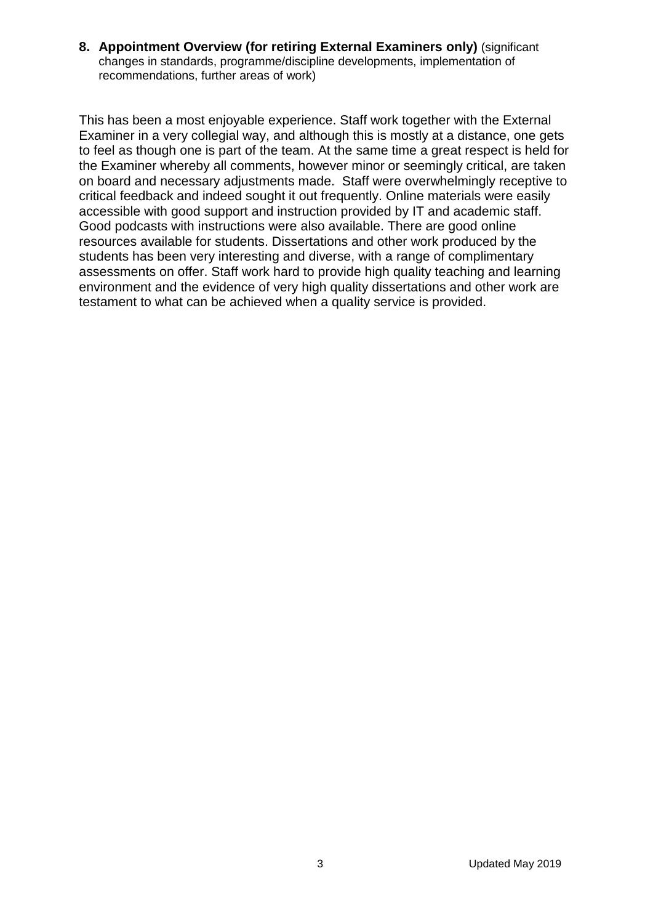**8. Appointment Overview (for retiring External Examiners only)** (significant changes in standards, programme/discipline developments, implementation of recommendations, further areas of work)

This has been a most enjoyable experience. Staff work together with the External Examiner in a very collegial way, and although this is mostly at a distance, one gets to feel as though one is part of the team. At the same time a great respect is held for the Examiner whereby all comments, however minor or seemingly critical, are taken on board and necessary adjustments made. Staff were overwhelmingly receptive to critical feedback and indeed sought it out frequently. Online materials were easily accessible with good support and instruction provided by IT and academic staff. Good podcasts with instructions were also available. There are good online resources available for students. Dissertations and other work produced by the students has been very interesting and diverse, with a range of complimentary assessments on offer. Staff work hard to provide high quality teaching and learning environment and the evidence of very high quality dissertations and other work are testament to what can be achieved when a quality service is provided.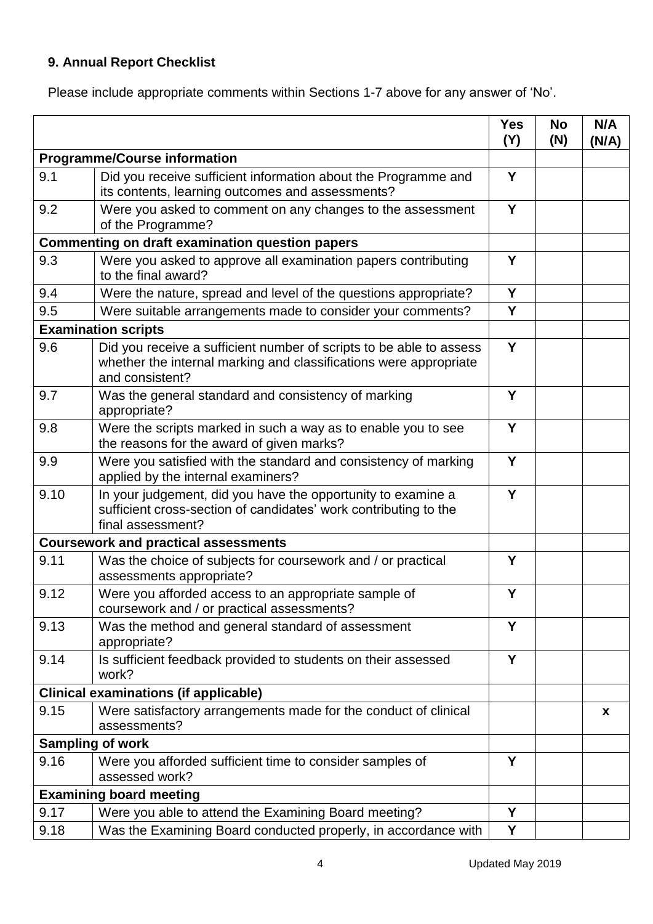## **9. Annual Report Checklist**

Please include appropriate comments within Sections 1-7 above for any answer of 'No'.

|                                              |                                                                                                                                                             | <b>Yes</b><br>(Y) | <b>No</b><br>(N) | N/A<br>(N/A) |
|----------------------------------------------|-------------------------------------------------------------------------------------------------------------------------------------------------------------|-------------------|------------------|--------------|
| <b>Programme/Course information</b>          |                                                                                                                                                             |                   |                  |              |
| 9.1                                          | Did you receive sufficient information about the Programme and<br>its contents, learning outcomes and assessments?                                          | Y                 |                  |              |
| 9.2                                          | Were you asked to comment on any changes to the assessment<br>of the Programme?                                                                             | Y                 |                  |              |
|                                              | <b>Commenting on draft examination question papers</b>                                                                                                      |                   |                  |              |
| 9.3                                          | Were you asked to approve all examination papers contributing<br>to the final award?                                                                        |                   |                  |              |
| 9.4                                          | Were the nature, spread and level of the questions appropriate?                                                                                             | Y                 |                  |              |
| 9.5                                          | Were suitable arrangements made to consider your comments?                                                                                                  | Y                 |                  |              |
|                                              | <b>Examination scripts</b>                                                                                                                                  |                   |                  |              |
| 9.6                                          | Did you receive a sufficient number of scripts to be able to assess<br>whether the internal marking and classifications were appropriate<br>and consistent? | Y                 |                  |              |
| 9.7                                          | Was the general standard and consistency of marking<br>appropriate?                                                                                         | Y                 |                  |              |
| 9.8                                          | Were the scripts marked in such a way as to enable you to see<br>the reasons for the award of given marks?                                                  | Y                 |                  |              |
| 9.9                                          | Were you satisfied with the standard and consistency of marking<br>applied by the internal examiners?                                                       | Y                 |                  |              |
| 9.10                                         | In your judgement, did you have the opportunity to examine a<br>sufficient cross-section of candidates' work contributing to the<br>final assessment?       | Y                 |                  |              |
|                                              | <b>Coursework and practical assessments</b>                                                                                                                 |                   |                  |              |
| 9.11                                         | Was the choice of subjects for coursework and / or practical<br>assessments appropriate?                                                                    | Y                 |                  |              |
| 9.12                                         | Were you afforded access to an appropriate sample of<br>coursework and / or practical assessments?                                                          | Y                 |                  |              |
| 9.13                                         | Was the method and general standard of assessment<br>appropriate?                                                                                           | Y                 |                  |              |
| 9.14                                         | Is sufficient feedback provided to students on their assessed<br>work?                                                                                      | Y                 |                  |              |
| <b>Clinical examinations (if applicable)</b> |                                                                                                                                                             |                   |                  |              |
| 9.15                                         | Were satisfactory arrangements made for the conduct of clinical<br>assessments?                                                                             |                   |                  | x            |
| <b>Sampling of work</b>                      |                                                                                                                                                             |                   |                  |              |
| 9.16                                         | Were you afforded sufficient time to consider samples of<br>assessed work?                                                                                  | Y                 |                  |              |
|                                              | <b>Examining board meeting</b>                                                                                                                              |                   |                  |              |
| 9.17                                         | Were you able to attend the Examining Board meeting?                                                                                                        | Y                 |                  |              |
| 9.18                                         | Was the Examining Board conducted properly, in accordance with                                                                                              | Υ                 |                  |              |